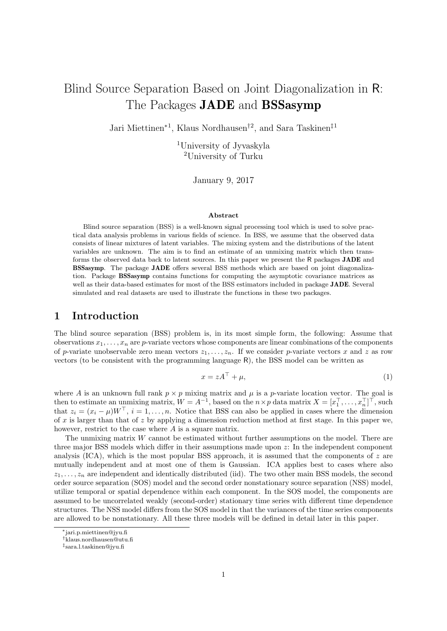# Blind Source Separation Based on Joint Diagonalization in R: The Packages **JADE** and **BSSasymp**

Jari Miettinen<sup>∗</sup><sup>1</sup> , Klaus Nordhausen†<sup>2</sup> , and Sara Taskinen‡<sup>1</sup>

<sup>1</sup>University of Jyvaskyla <sup>2</sup>University of Turku

January 9, 2017

#### Abstract

Blind source separation (BSS) is a well-known signal processing tool which is used to solve practical data analysis problems in various fields of science. In BSS, we assume that the observed data consists of linear mixtures of latent variables. The mixing system and the distributions of the latent variables are unknown. The aim is to find an estimate of an unmixing matrix which then transforms the observed data back to latent sources. In this paper we present the R packages JADE and BSSasymp. The package JADE offers several BSS methods which are based on joint diagonalization. Package BSSasymp contains functions for computing the asymptotic covariance matrices as well as their data-based estimates for most of the BSS estimators included in package JADE. Several simulated and real datasets are used to illustrate the functions in these two packages.

## 1 Introduction

The blind source separation (BSS) problem is, in its most simple form, the following: Assume that observations  $x_1, \ldots, x_n$  are p-variate vectors whose components are linear combinations of the components of p-variate unobservable zero mean vectors  $z_1, \ldots, z_n$ . If we consider p-variate vectors x and z as row vectors (to be consistent with the programming language R), the BSS model can be written as

<span id="page-0-0"></span>
$$
x = zA^{\top} + \mu,\tag{1}
$$

where A is an unknown full rank  $p \times p$  mixing matrix and  $\mu$  is a p-variate location vector. The goal is then to estimate an unmixing matrix,  $W = A^{-1}$ , based on the  $n \times p$  data matrix  $X = [x_1^\top, \dots, x_n^\top]^\top$ , such that  $z_i = (x_i - \mu)W^{\top}$ ,  $i = 1, ..., n$ . Notice that BSS can also be applied in cases where the dimension of x is larger than that of z by applying a dimension reduction method at first stage. In this paper we, however, restrict to the case where A is a square matrix.

The unmixing matrix W cannot be estimated without further assumptions on the model. There are three major BSS models which differ in their assumptions made upon z: In the independent component analysis (ICA), which is the most popular BSS approach, it is assumed that the components of  $z$  are mutually independent and at most one of them is Gaussian. ICA applies best to cases where also  $z_1, \ldots, z_n$  are independent and identically distributed (iid). The two other main BSS models, the second order source separation (SOS) model and the second order nonstationary source separation (NSS) model, utilize temporal or spatial dependence within each component. In the SOS model, the components are assumed to be uncorrelated weakly (second-order) stationary time series with different time dependence structures. The NSS model differs from the SOS model in that the variances of the time series components are allowed to be nonstationary. All these three models will be defined in detail later in this paper.

<sup>∗</sup>jari.p.miettinen@jyu.fi

<sup>†</sup>klaus.nordhausen@utu.fi

<sup>‡</sup> sara.l.taskinen@jyu.fi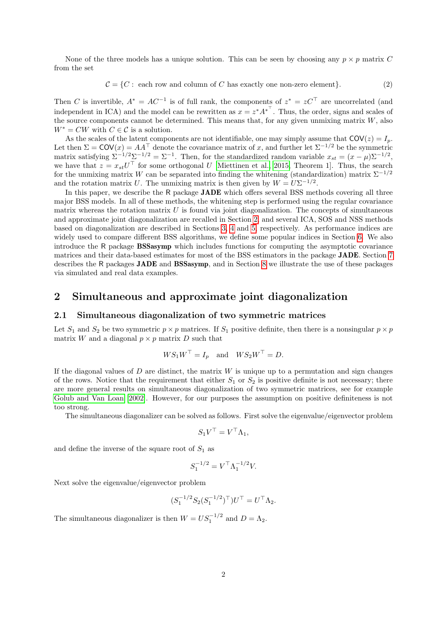None of the three models has a unique solution. This can be seen by choosing any  $p \times p$  matrix C from the set

<span id="page-1-1"></span>
$$
C = \{C : each row and column of C has exactly one non-zero element\}.
$$
 (2)

Then C is invertible,  $A^* = AC^{-1}$  is of full rank, the components of  $z^* = zC^{\top}$  are uncorrelated (and independent in ICA) and the model can be rewritten as  $x = z^* A^{*^T}$ . Thus, the order, signs and scales of the source components cannot be determined. This means that, for any given unmixing matrix  $W$ , also  $W^* = CW$  with  $C \in \mathcal{C}$  is a solution.

As the scales of the latent components are not identifiable, one may simply assume that  $COV(z) = I_p$ . Let then  $\Sigma = \text{COV}(x) = AA^\top$  denote the covariance matrix of x, and further let  $\Sigma^{-1/2}$  be the symmetric matrix satisfying  $\Sigma^{-1/2}\Sigma^{-1/2} = \Sigma^{-1}$ . Then, for the standardized random variable  $x_{st} = (x - \mu)\Sigma^{-1/2}$ , we have that  $z = x_{st}U^{\top}$  for some orthogonal U [\[Miettinen et al., 2015,](#page-24-0) Theorem 1]. Thus, the search for the unmixing matrix W can be separated into finding the whitening (standardization) matrix  $\Sigma^{-1/2}$ and the rotation matrix U. The unmixing matrix is then given by  $W = U\Sigma^{-1/2}$ .

In this paper, we describe the R package JADE which offers several BSS methods covering all three major BSS models. In all of these methods, the whitening step is performed using the regular covariance matrix whereas the rotation matrix  $U$  is found via joint diagonalization. The concepts of simultaneous and approximate joint diagonalization are recalled in Section [2,](#page-1-0) and several ICA, SOS and NSS methods based on diagonalization are described in Sections [3,](#page-3-0) [4](#page-5-0) and [5,](#page-6-0) respectively. As performance indices are widely used to compare different BSS algorithms, we define some popular indices in Section [6.](#page-7-0) We also introduce the R package BSSasymp which includes functions for computing the asymptotic covariance matrices and their data-based estimates for most of the BSS estimators in the package JADE. Section [7](#page-7-1) describes the R packages JADE and BSSasymp, and in Section [8](#page-9-0) we illustrate the use of these packages via simulated and real data examples.

## <span id="page-1-0"></span>2 Simultaneous and approximate joint diagonalization

#### 2.1 Simultaneous diagonalization of two symmetric matrices

Let  $S_1$  and  $S_2$  be two symmetric  $p \times p$  matrices. If  $S_1$  positive definite, then there is a nonsingular  $p \times p$ matrix W and a diagonal  $p \times p$  matrix D such that

$$
WS_1W^{\top} = I_p \quad \text{and} \quad WS_2W^{\top} = D.
$$

If the diagonal values of  $D$  are distinct, the matrix  $W$  is unique up to a permutation and sign changes of the rows. Notice that the requirement that either  $S_1$  or  $S_2$  is positive definite is not necessary; there are more general results on simultaneous diagonalization of two symmetric matrices, see for example [Golub and Van Loan](#page-23-0) [\[2002\]](#page-23-0). However, for our purposes the assumption on positive definiteness is not too strong.

The simultaneous diagonalizer can be solved as follows. First solve the eigenvalue/eigenvector problem

$$
S_1 V^\top = V^\top \Lambda_1,
$$

and define the inverse of the square root of  $S_1$  as

$$
S_1^{-1/2} = V^\top \Lambda_1^{-1/2} V.
$$

Next solve the eigenvalue/eigenvector problem

$$
(S_1^{-1/2}S_2(S_1^{-1/2})^{\top})U^{\top} = U^{\top}\Lambda_2.
$$

The simultaneous diagonalizer is then  $W = US_1^{-1/2}$  and  $D = \Lambda_2$ .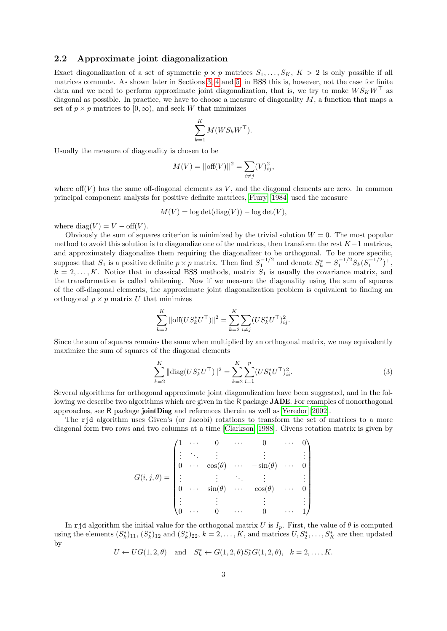#### 2.2 Approximate joint diagonalization

Exact diagonalization of a set of symmetric  $p \times p$  matrices  $S_1, \ldots, S_K$ ,  $K > 2$  is only possible if all matrices commute. As shown later in Sections [3,](#page-3-0) [4](#page-5-0) and [5,](#page-6-0) in BSS this is, however, not the case for finite data and we need to perform approximate joint diagonalization, that is, we try to make  $WS_KW^{\dagger}$  as diagonal as possible. In practice, we have to choose a measure of diagonality  $M$ , a function that maps a set of  $p \times p$  matrices to  $[0, \infty)$ , and seek W that minimizes

$$
\sum_{k=1}^K M(W S_k W^\top).
$$

Usually the measure of diagonality is chosen to be

$$
M(V) = ||\text{off}(V)||^2 = \sum_{i \neq j} (V)_{ij}^2,
$$

where  $\text{off}(V)$  has the same off-diagonal elements as V, and the diagonal elements are zero. In common principal component analysis for positive definite matrices, [Flury](#page-23-1) [\[1984\]](#page-23-1) used the measure

$$
M(V) = \log \det(\text{diag}(V)) - \log \det(V),
$$

where diag(V) =  $V - \text{off}(V)$ .

Obviously the sum of squares criterion is minimized by the trivial solution  $W = 0$ . The most popular method to avoid this solution is to diagonalize one of the matrices, then transform the rest  $K-1$  matrices, and approximately diagonalize them requiring the diagonalizer to be orthogonal. To be more specific, suppose that  $S_1$  is a positive definite  $p \times p$  matrix. Then find  $S_1^{-1/2}$  and denote  $S_k^* = S_1^{-1/2} S_k (S_1^{-1/2})^\top$ ,  $k = 2, \ldots, K$ . Notice that in classical BSS methods, matrix  $S_1$  is usually the covariance matrix, and the transformation is called whitening. Now if we measure the diagonality using the sum of squares of the off-diagonal elements, the approximate joint diagonalization problem is equivalent to finding an orthogonal  $p \times p$  matrix U that minimizes

$$
\sum_{k=2}^{K} \|\text{off}(US_k^*U^\top)\|^2 = \sum_{k=2}^{K} \sum_{i \neq j} (US_k^*U^\top)^2_{ij}.
$$

Since the sum of squares remains the same when multiplied by an orthogonal matrix, we may equivalently maximize the sum of squares of the diagonal elements

<span id="page-2-0"></span>
$$
\sum_{k=2}^{K} \|\text{diag}(US_k^* U^\top)\|^2 = \sum_{k=2}^{K} \sum_{i=1}^{p} (US_k^* U^\top)_{ii}^2.
$$
 (3)

Several algorithms for orthogonal approximate joint diagonalization have been suggested, and in the following we describe two algorithms which are given in the R package **JADE**. For examples of nonorthogonal approaches, see R package jointDiag and references therein as well as [Yeredor](#page-24-1) [\[2002\]](#page-24-1).

The rjd algorithm uses Given's (or Jacobi) rotations to transform the set of matrices to a more diagonal form two rows and two columns at a time [\[Clarkson, 1988\]](#page-23-2). Givens rotation matrix is given by

$$
G(i,j,\theta) = \begin{pmatrix} 1 & \cdots & 0 & \cdots & 0 & \cdots & 0 \\ \vdots & \ddots & \vdots & & \vdots & & \vdots \\ 0 & \cdots & \cos(\theta) & \cdots & -\sin(\theta) & \cdots & 0 \\ \vdots & & \vdots & \ddots & \vdots & & \vdots \\ 0 & \cdots & \sin(\theta) & \cdots & \cos(\theta) & \cdots & 0 \\ \vdots & & \vdots & & \vdots & & \vdots \\ 0 & \cdots & 0 & \cdots & 0 & \cdots & 1 \end{pmatrix}
$$

In rjd algorithm the initial value for the orthogonal matrix U is  $I_p$ . First, the value of  $\theta$  is computed using the elements  $(S_k^*)_{11}, (S_k^*)_{12}$  and  $(S_k^*)_{22}, k = 2, \ldots, K$ , and matrices  $U, S_2^*, \ldots, S_K^*$  are then updated by

$$
U \leftarrow UG(1, 2, \theta)
$$
 and  $S_k^* \leftarrow G(1, 2, \theta)S_k^*G(1, 2, \theta), k = 2, ..., K.$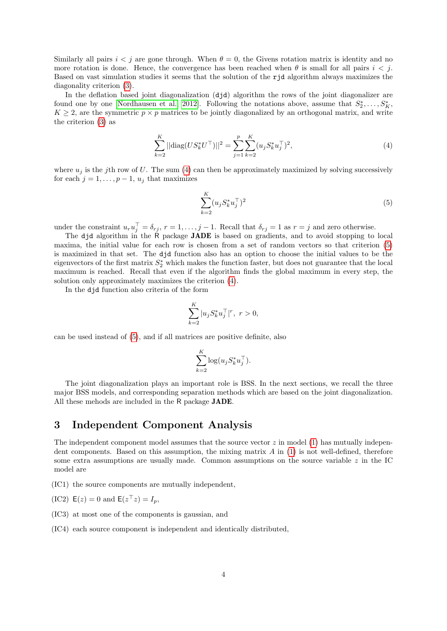Similarly all pairs  $i < j$  are gone through. When  $\theta = 0$ , the Givens rotation matrix is identity and no more rotation is done. Hence, the convergence has been reached when  $\theta$  is small for all pairs  $i < j$ . Based on vast simulation studies it seems that the solution of the rjd algorithm always maximizes the diagonality criterion [\(3\)](#page-2-0).

In the deflation based joint diagonalization  $(did)$  algorithm the rows of the joint diagonalizer are found one by one [\[Nordhausen et al., 2012\]](#page-24-2). Following the notations above, assume that  $S_2^*, \ldots, S_K^*$ ,  $K \geq 2$ , are the symmetric  $p \times p$  matrices to be jointly diagonalized by an orthogonal matrix, and write the criterion [\(3\)](#page-2-0) as

$$
\sum_{k=2}^{K} ||\text{diag}(US_k^* U^\top)||^2 = \sum_{j=1}^{p} \sum_{k=2}^{K} (u_j S_k^* u_j^\top)^2,
$$
\n(4)

where  $u_i$  is the jth row of U. The sum [\(4\)](#page-3-1) can then be approximately maximized by solving successively for each  $j = 1, \ldots, p - 1, u_j$  that maximizes

<span id="page-3-2"></span><span id="page-3-1"></span>
$$
\sum_{k=2}^{K} (u_j S_k^* u_j^\top)^2
$$
 (5)

under the constraint  $u_r u_j^{\top} = \delta_{rj}, r = 1, \ldots, j-1$ . Recall that  $\delta_{rj} = 1$  as  $r = j$  and zero otherwise.

The djd algorithm in the R package **JADE** is based on gradients, and to avoid stopping to local maxima, the initial value for each row is chosen from a set of random vectors so that criterion [\(5\)](#page-3-2) is maximized in that set. The djd function also has an option to choose the initial values to be the eigenvectors of the first matrix  $S_2^*$  which makes the function faster, but does not guarantee that the local maximum is reached. Recall that even if the algorithm finds the global maximum in every step, the solution only approximately maximizes the criterion [\(4\)](#page-3-1).

In the djd function also criteria of the form

$$
\sum_{k=2}^{K} |u_j S_k^* u_j^\top|^r, \ r > 0,
$$

can be used instead of [\(5\)](#page-3-2), and if all matrices are positive definite, also

$$
\sum_{k=2}^{K} \log(u_j S_k^* u_j^\top).
$$

The joint diagonalization plays an important role is BSS. In the next sections, we recall the three major BSS models, and corresponding separation methods which are based on the joint diagonalization. All these mehods are included in the R package JADE.

## <span id="page-3-0"></span>3 Independent Component Analysis

The independent component model assumes that the source vector  $z$  in model [\(1\)](#page-0-0) has mutually independent components. Based on this assumption, the mixing matrix  $A$  in [\(1\)](#page-0-0) is not well-defined, therefore some extra assumptions are usually made. Common assumptions on the source variable  $z$  in the IC model are

(IC1) the source components are mutually independent,

 $(IC2) E(z) = 0$  and  $E(z^{\top}z) = I_p$ ,

(IC3) at most one of the components is gaussian, and

(IC4) each source component is independent and identically distributed,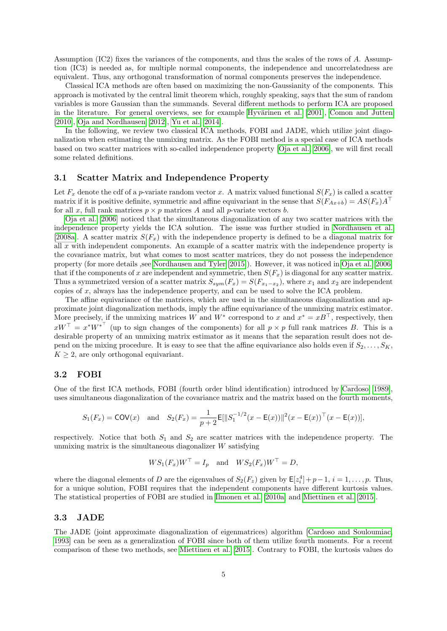Assumption (IC2) fixes the variances of the components, and thus the scales of the rows of A. Assumption (IC3) is needed as, for multiple normal components, the independence and uncorrelatedness are equivalent. Thus, any orthogonal transformation of normal components preserves the independence.

Classical ICA methods are often based on maximizing the non-Gaussianity of the components. This approach is motivated by the central limit theorem which, roughly speaking, says that the sum of random variables is more Gaussian than the summands. Several different methods to perform ICA are proposed in the literature. For general overviews, see for example Hyvärinen et al. [\[2001\]](#page-23-3), [Comon and Jutten](#page-23-4) [\[2010\]](#page-23-4), [Oja and Nordhausen](#page-24-3) [\[2012\]](#page-24-3), [Yu et al.](#page-24-4) [\[2014\]](#page-24-4).

In the following, we review two classical ICA methods, FOBI and JADE, which utilize joint diagonalization when estimating the unmixing matrix. As the FOBI method is a special case of ICA methods based on two scatter matrices with so-called independence property [\[Oja et al., 2006\]](#page-24-5), we will first recall some related definitions.

#### 3.1 Scatter Matrix and Independence Property

Let  $F_x$  denote the cdf of a p-variate random vector x. A matrix valued functional  $S(F_x)$  is called a scatter matrix if it is positive definite, symmetric and affine equivariant in the sense that  $S(F_{Ax+b}) = AS(F_x)A^{\top}$ for all x, full rank matrices  $p \times p$  matrices A and all p-variate vectors b.

[Oja et al.](#page-24-5) [\[2006\]](#page-24-5) noticed that the simultaneous diagonalization of any two scatter matrices with the independence property yields the ICA solution. The issue was further studied in [Nordhausen et al.](#page-24-6) [\[2008a\]](#page-24-6). A scatter matrix  $S(F_x)$  with the independence property is defined to be a diagonal matrix for all x with independent components. An example of a scatter matrix with the independence property is the covariance matrix, but what comes to most scatter matrices, they do not possess the independence property (for more details ,see [Nordhausen and Tyler](#page-24-7) [\[2015\]](#page-24-7)). However, it was noticed in [Oja et al.](#page-24-5) [\[2006\]](#page-24-5) that if the components of x are independent and symmetric, then  $S(F_x)$  is diagonal for any scatter matrix. Thus a symmetrized version of a scatter matrix  $S_{sym}(F_x) = S(F_{x_1-x_2})$ , where  $x_1$  and  $x_2$  are independent copies of x, always has the independence property, and can be used to solve the ICA problem.

The affine equivariance of the matrices, which are used in the simultaneous diagonalization and approximate joint diagonalization methods, imply the affine equivariance of the unmixing matrix estimator. More precisely, if the unmixing matrices W and  $W^*$  correspond to x and  $x^* = xB^{\top}$ , respectively, then  $xW^{\top} = x^*W^{*^{\top}}$  (up to sign changes of the components) for all  $p \times p$  full rank matrices B. This is a desirable property of an unmixing matrix estimator as it means that the separation result does not depend on the mixing procedure. It is easy to see that the affine equivariance also holds even if  $S_2, \ldots, S_K$ ,  $K \geq 2$ , are only orthogonal equivariant.

#### 3.2 FOBI

One of the first ICA methods, FOBI (fourth order blind identification) introduced by [Cardoso](#page-22-0) [\[1989\]](#page-22-0), uses simultaneous diagonalization of the covariance matrix and the matrix based on the fourth moments,

$$
S_1(F_x) = \text{COV}(x)
$$
 and  $S_2(F_x) = \frac{1}{p+2} \text{E}[\|S_1^{-1/2}(x - \text{E}(x))\|^2 (x - \text{E}(x))^T (x - \text{E}(x))],$ 

respectively. Notice that both  $S_1$  and  $S_2$  are scatter matrices with the independence property. The unmixing matrix is the simultaneous diagonalizer  $W$  satisfying

$$
WS_1(F_x)W^{\top} = I_p
$$
 and  $WS_2(F_x)W^{\top} = D$ ,

where the diagonal elements of D are the eigenvalues of  $S_2(F_z)$  given by  $\mathsf{E}[z_i^4]+p-1$ ,  $i=1,\ldots,p$ . Thus, for a unique solution, FOBI requires that the independent components have different kurtosis values. The statistical properties of FOBI are studied in [Ilmonen et al.](#page-23-5) [\[2010a\]](#page-23-5) and [Miettinen et al.](#page-24-0) [\[2015\]](#page-24-0).

#### 3.3 JADE

The JADE (joint approximate diagonalization of eigenmatrices) algorithm [\[Cardoso and Souloumiac,](#page-22-1) [1993\]](#page-22-1) can be seen as a generalization of FOBI since both of them utilize fourth moments. For a recent comparison of these two methods, see [Miettinen et al.](#page-24-0) [\[2015\]](#page-24-0). Contrary to FOBI, the kurtosis values do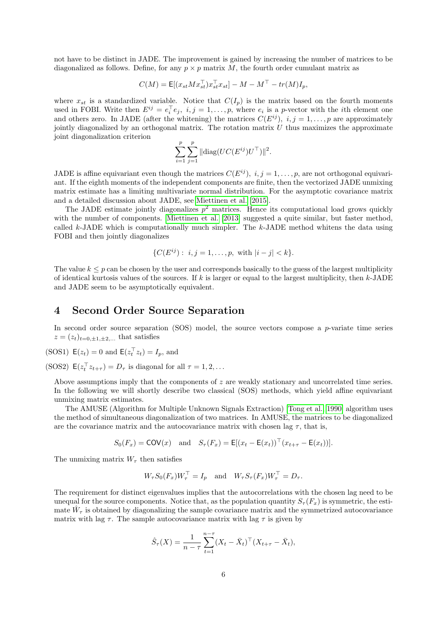not have to be distinct in JADE. The improvement is gained by increasing the number of matrices to be diagonalized as follows. Define, for any  $p \times p$  matrix M, the fourth order cumulant matrix as

$$
C(M) = \mathsf{E}[(x_{st}Mx_{st}^{\top})x_{st}^{\top}x_{st}] - M - M^{\top} - tr(M)I_p,
$$

where  $x_{st}$  is a standardized variable. Notice that  $C(I_p)$  is the matrix based on the fourth moments used in FOBI. Write then  $E^{ij} = e_i^{\top} e_j$ ,  $i, j = 1, \ldots, p$ , where  $e_i$  is a p-vector with the *i*th element one and others zero. In JADE (after the whitening) the matrices  $C(E^{ij})$ ,  $i, j = 1, \ldots, p$  are approximately jointly diagonalized by an orthogonal matrix. The rotation matrix  $U$  thus maximizes the approximate joint diagonalization criterion

$$
\sum_{i=1}^{p} \sum_{j=1}^{p} ||diag(UC(E^{ij})U^{\top})||^{2}.
$$

JADE is affine equivariant even though the matrices  $C(E^{ij})$ ,  $i, j = 1, \ldots, p$ , are not orthogonal equivariant. If the eighth moments of the independent components are finite, then the vectorized JADE unmixing matrix estimate has a limiting multivariate normal distribution. For the asymptotic covariance matrix and a detailed discussion about JADE, see [Miettinen et al.](#page-24-0) [\[2015\]](#page-24-0).

The JADE estimate jointly diagonalizes  $p^2$  matrices. Hence its computational load grows quickly with the number of components. [Miettinen et al.](#page-23-6) [\[2013\]](#page-23-6) suggested a quite similar, but faster method, called  $k$ -JADE which is computationally much simpler. The  $k$ -JADE method whitens the data using FOBI and then jointly diagonalizes

$$
\{C(E^{ij}): i, j = 1, \dots, p, \text{ with } |i - j| < k\}.
$$

The value  $k \leq p$  can be chosen by the user and corresponds basically to the guess of the largest multiplicity of identical kurtosis values of the sources. If k is larger or equal to the largest multiplicity, then  $k$ -JADE and JADE seem to be asymptotically equivalent.

## <span id="page-5-0"></span>4 Second Order Source Separation

In second order source separation  $(SOS)$  model, the source vectors compose a p-variate time series  $z = (z_t)_{t=0,\pm 1,\pm 2,\dots}$  that satisfies

(SOS1) 
$$
E(z_t) = 0
$$
 and  $E(z_t^\top z_t) = I_p$ , and

(SOS2)  $\mathsf{E}(z_t^\top z_{t+\tau}) = D_\tau$  is diagonal for all  $\tau = 1, 2, \ldots$ 

Above assumptions imply that the components of z are weakly stationary and uncorrelated time series. In the following we will shortly describe two classical (SOS) methods, which yield affine equivariant unmixing matrix estimates.

The AMUSE (Algorithm for Multiple Unknown Signals Extraction) [\[Tong et al., 1990\]](#page-24-8) algorithm uses the method of simultaneous diagonalization of two matrices. In AMUSE, the matrices to be diagonalized are the covariance matrix and the autocovariance matrix with chosen lag  $\tau$ , that is,

$$
S_0(F_x) = \text{COV}(x) \quad \text{and} \quad S_\tau(F_x) = \text{E}[(x_t - \text{E}(x_t))^\top (x_{t+\tau} - \text{E}(x_t))].
$$

The unmixing matrix  $W_{\tau}$  then satisfies

$$
W_{\tau}S_0(F_x)W_{\tau}^{\top} = I_p \text{ and } W_{\tau}S_{\tau}(F_x)W_{\tau}^{\top} = D_{\tau}.
$$

The requirement for distinct eigenvalues implies that the autocorrelations with the chosen lag need to be unequal for the source components. Notice that, as the population quantity  $S_\tau(F_x)$  is symmetric, the estimate  $\hat{W}_{\tau}$  is obtained by diagonalizing the sample covariance matrix and the symmetrized autocovariance matrix with lag  $\tau$ . The sample autocovariance matrix with lag  $\tau$  is given by

$$
\hat{S}_{\tau}(X) = \frac{1}{n - \tau} \sum_{t=1}^{n - \tau} (X_t - \bar{X}_t)^{\top} (X_{t + \tau} - \bar{X}_t),
$$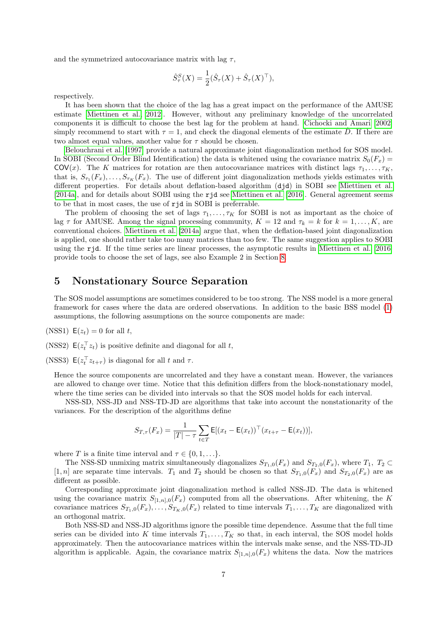and the symmetrized autocovariance matrix with lag  $\tau$ ,

$$
\hat{S}_{\tau}^{S}(X) = \frac{1}{2} (\hat{S}_{\tau}(X) + \hat{S}_{\tau}(X)^{\top}),
$$

respectively.

It has been shown that the choice of the lag has a great impact on the performance of the AMUSE estimate [\[Miettinen et al., 2012\]](#page-23-7). However, without any preliminary knowledge of the uncorrelated components it is difficult to choose the best lag for the problem at hand. [Cichocki and Amari](#page-22-2) [\[2002\]](#page-22-2) simply recommend to start with  $\tau = 1$ , and check the diagonal elements of the estimate D. If there are two almost equal values, another value for  $\tau$  should be chosen.

[Belouchrani et al.](#page-22-3) [\[1997\]](#page-22-3) provide a natural approximate joint diagonalization method for SOS model. In SOBI (Second Order Blind Identification) the data is whitened using the covariance matrix  $S_0(F_x)$ COV(x). The K matrices for rotation are then autocovariance matrices with distinct lags  $\tau_1, \ldots, \tau_K$ , that is,  $S_{\tau_1}(F_x), \ldots, S_{\tau_K}(F_x)$ . The use of different joint diagonalization methods yields estimates with different properties. For details about deflation-based algorithm (djd) in SOBI see [Miettinen et al.](#page-24-9) [\[2014a\]](#page-24-9), and for details about SOBI using the rjd see [Miettinen et al.](#page-24-10) [\[2016\]](#page-24-10). General agreement seems to be that in most cases, the use of rjd in SOBI is preferrable.

The problem of choosing the set of lags  $\tau_1, \ldots, \tau_K$  for SOBI is not as important as the choice of lag  $\tau$  for AMUSE. Among the signal processing community,  $K = 12$  and  $\tau_k = k$  for  $k = 1, \ldots, K$ , are conventional choices. [Miettinen et al.](#page-24-9) [\[2014a\]](#page-24-9) argue that, when the deflation-based joint diagonalization is applied, one should rather take too many matrices than too few. The same suggestion applies to SOBI using the rjd. If the time series are linear processes, the asymptotic results in [Miettinen et al.](#page-24-10) [\[2016\]](#page-24-10) provide tools to choose the set of lags, see also Example 2 in Section [8.](#page-9-0)

## <span id="page-6-0"></span>5 Nonstationary Source Separation

The SOS model assumptions are sometimes considered to be too strong. The NSS model is a more general framework for cases where the data are ordered observations. In addition to the basic BSS model [\(1\)](#page-0-0) assumptions, the following assumptions on the source components are made:

(NSS1)  $E(z_t) = 0$  for all t,

(NSS2)  $E(z_t^\top z_t)$  is positive definite and diagonal for all t,

(NSS3)  $E(z_t^\top z_{t+\tau})$  is diagonal for all t and  $\tau$ .

Hence the source components are uncorrelated and they have a constant mean. However, the variances are allowed to change over time. Notice that this definition differs from the block-nonstationary model, where the time series can be divided into intervals so that the SOS model holds for each interval.

NSS-SD, NSS-JD and NSS-TD-JD are algorithms that take into account the nonstationarity of the variances. For the description of the algorithms define

$$
S_{T,\tau}(F_x) = \frac{1}{|T| - \tau} \sum_{t \in T} \mathsf{E}[(x_t - \mathsf{E}(x_t))^{\top} (x_{t+\tau} - \mathsf{E}(x_t))],
$$

where T is a finite time interval and  $\tau \in \{0, 1, \ldots\}.$ 

The NSS-SD unmixing matrix simultaneously diagonalizes  $S_{T_1,0}(F_x)$  and  $S_{T_2,0}(F_x)$ , where  $T_1$ ,  $T_2 \subset$ [1, n] are separate time intervals.  $T_1$  and  $T_2$  should be chosen so that  $S_{T_1,0}(F_x)$  and  $S_{T_2,0}(F_x)$  are as different as possible.

Corresponding approximate joint diagonalization method is called NSS-JD. The data is whitened using the covariance matrix  $S_{[1,n],0}(F_x)$  computed from all the observations. After whitening, the K covariance matrices  $S_{T_1,0}(F_x), \ldots, S_{T_K,0}(F_x)$  related to time intervals  $T_1, \ldots, T_K$  are diagonalized with an orthogonal matrix.

Both NSS-SD and NSS-JD algorithms ignore the possible time dependence. Assume that the full time series can be divided into K time intervals  $T_1, \ldots, T_K$  so that, in each interval, the SOS model holds approximately. Then the autocovariance matrices within the intervals make sense, and the NSS-TD-JD algorithm is applicable. Again, the covariance matrix  $S_{[1,n],0}(F_x)$  whitens the data. Now the matrices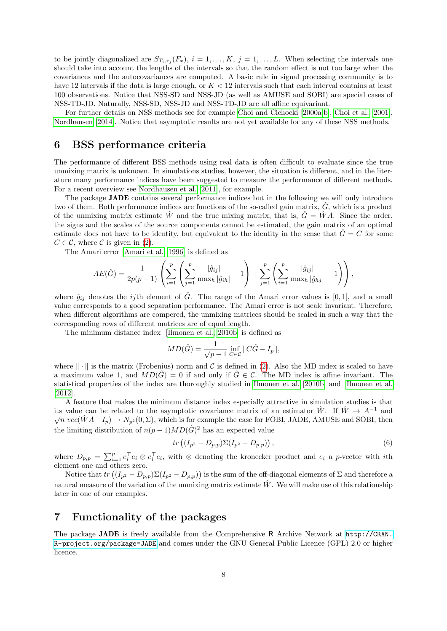to be jointly diagonalized are  $S_{T_i, \tau_j}(F_x)$ ,  $i = 1, \ldots, K$ ,  $j = 1, \ldots, L$ . When selecting the intervals one should take into account the lengths of the intervals so that the random effect is not too large when the covariances and the autocovariances are computed. A basic rule in signal processing community is to have 12 intervals if the data is large enough, or  $K < 12$  intervals such that each interval contains at least 100 observations. Notice that NSS-SD and NSS-JD (as well as AMUSE and SOBI) are special cases of NSS-TD-JD. Naturally, NSS-SD, NSS-JD and NSS-TD-JD are all affine equivariant.

For further details on NSS methods see for example [Choi and Cichocki](#page-22-4) [\[2000a,](#page-22-4)[b\]](#page-22-5), [Choi et al.](#page-22-6) [\[2001\]](#page-22-6), [Nordhausen](#page-24-11) [\[2014\]](#page-24-11). Notice that asymptotic results are not yet available for any of these NSS methods.

## <span id="page-7-0"></span>6 BSS performance criteria

The performance of different BSS methods using real data is often difficult to evaluate since the true unmixing matrix is unknown. In simulations studies, however, the situation is different, and in the literature many performance indices have been suggested to measure the performance of different methods. For a recent overview see [Nordhausen et al.](#page-24-12) [\[2011\]](#page-24-12), for example.

The package JADE contains several performance indices but in the following we will only introduce two of them. Both performance indices are functions of the so-called gain matrix,  $\ddot{G}$ , which is a product of the unmixing matrix estimate  $\hat{W}$  and the true mixing matrix, that is,  $\hat{G} = \hat{W}A$ . Since the order, the signs and the scales of the source components cannot be estimated, the gain matrix of an optimal estimate does not have to be identity, but equivalent to the identity in the sense that  $\hat{G} = C$  for some  $C \in \mathcal{C}$ , where  $\mathcal{C}$  is given in [\(2\)](#page-1-1).

The Amari error [\[Amari et al., 1996\]](#page-22-7) is defined as

$$
AE(\hat{G}) = \frac{1}{2p(p-1)} \left( \sum_{i=1}^{p} \left( \sum_{j=1}^{p} \frac{|\hat{g}_{ij}|}{\max_{h} |\hat{g}_{ih}|} - 1 \right) + \sum_{j=1}^{p} \left( \sum_{i=1}^{p} \frac{|\hat{g}_{ij}|}{\max_{h} |\hat{g}_{hj}|} - 1 \right) \right),
$$

where  $\hat{g}_{ij}$  denotes the *ij*th element of  $\hat{G}$ . The range of the Amari error values is [0, 1], and a small value corresponds to a good separation performance. The Amari error is not scale invariant. Therefore, when different algorithms are compered, the unmixing matrices should be scaled in such a way that the corresponding rows of different matrices are of equal length.

The minimum distance index [\[Ilmonen et al., 2010b\]](#page-23-8) is defined as

$$
MD(\hat{G}) = \frac{1}{\sqrt{p-1}} \inf_{C \in \mathcal{C}} \|C\hat{G} - I_p\|,
$$

where  $\|\cdot\|$  is the matrix (Frobenius) norm and C is defined in [\(2\)](#page-1-1). Also the MD index is scaled to have a maximum value 1, and  $MD(\hat{G}) = 0$  if and only if  $\hat{G} \in \mathcal{C}$ . The MD index is affine invariant. The statistical properties of the index are thoroughly studied in [Ilmonen et al.](#page-23-8) [\[2010b\]](#page-23-8) and [Ilmonen et al.](#page-23-9) [\[2012\]](#page-23-9).

A feature that makes the minimum distance index especially attractive in simulation studies is that its value can be related to the asymptotic covariance matrix of an estimator  $\hat{W}$ . If  $\hat{W} \to A^{-1}$  and  $\sqrt{n}$  vec( $\hat{W}A-I_p$ )  $\rightarrow$   $N_{p^2}(0,\Sigma)$ , which is for example the case for FOBI, JADE, AMUSE and SOBI, then the limiting distribution of  $n(p-1)MD(\hat{G})^2$  has an expected value

<span id="page-7-2"></span>
$$
tr\left((I_{p^2} - D_{p,p})\Sigma(I_{p^2} - D_{p,p})\right),\tag{6}
$$

where  $D_{p,p} = \sum_{i=1}^p e_i^{\top} e_i \otimes e_i^{\top} e_i$ , with  $\otimes$  denoting the kronecker product and  $e_i$  a p-vector with *i*th element one and others zero.

Notice that  $tr((I_{p^2}-D_{p,p})\Sigma(I_{p^2}-D_{p,p}))$  is the sum of the off-diagonal elements of  $\Sigma$  and therefore a natural measure of the variation of the unmixing matrix estimate  $\hat{W}$ . We will make use of this relationship later in one of our examples.

## <span id="page-7-1"></span>7 Functionality of the packages

The package JADE is freely available from the Comprehensive R Archive Network at [http://CRAN.](http: //CRAN.R-project.org/package=JADE) [R-project.org/package=JADE](http: //CRAN.R-project.org/package=JADE) and comes under the GNU General Public Licence (GPL) 2.0 or higher licence.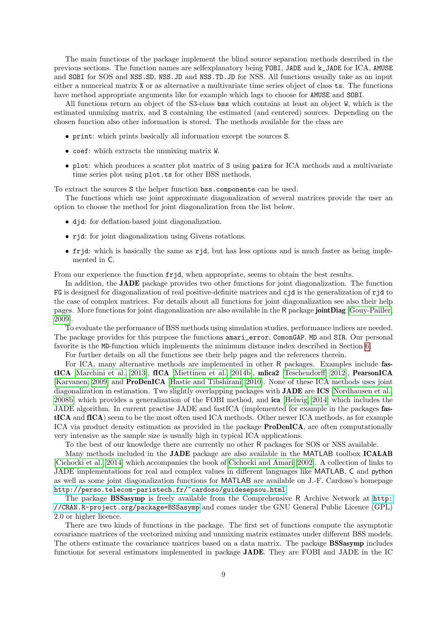The main functions of the package implement the blind source separation methods described in the previous sections. The function names are selfexplanatory being FOBI, JADE and k\_JADE for ICA, AMUSE and SOBI for SOS and NSS.SD, NSS.JD and NSS.TD.JD for NSS. All functions usually take as an input either a numerical matrix X or as alternative a multivariate time series object of class ts. The functions have method appropriate arguments like for example which lags to choose for AMUSE and SOBI.

All functions return an object of the S3-class bss which contains at least an object W, which is the estimated unmixing matrix, and S containing the estimated (and centered) sources. Depending on the chosen function also other information is stored. The methods available for the class are

- print: which prints basically all information except the sources S.
- coef: which extracts the unmixing matrix W.
- plot: which produces a scatter plot matrix of S using pairs for ICA methods and a multivariate time series plot using plot.ts for other BSS methods.

To extract the sources S the helper function bss.components can be used.

The functions which use joint approximate diagonalization of several matrices provide the user an option to choose the method for joint diagonalization from the list below.

- djd: for deflation-based joint diagonalization.
- rjd: for joint diagonalization using Givens rotations.
- frjd: which is basically the same as rjd, but has less options and is much faster as being implemented in C.

From our experience the function  $f$ rjd, when appropriate, seems to obtain the best results.

In addition, the **JADE** package provides two other functions for joint diagonalization. The function  $FG$  is designed for diagonalization of real positive-definite matrices and  $c$  jd is the generalization of  $r$  jd to the case of complex matrices. For details about all functions for joint diagonalization see also their help pages. More functions for joint diagonalization are also available in the R package jointDiag [\[Gouy-Pailler,](#page-23-10) [2009\]](#page-23-10).

To evaluate the performance of BSS methods using simulation studies, performance indices are needed. The package provides for this purpose the functions amari\_error, ComonGAP, MD and SIR. Our personal favorite is the MD-function which implements the minimum distance index described in Section [6.](#page-7-0)

For further details on all the functions see their help pages and the references therein.

For ICA, many alternative methods are implemented in other R packages. Examples include fastICA [\[Marchini et al., 2013\]](#page-23-11), fICA [\[Miettinen et al., 2014b\]](#page-24-13), mlica2 [\[Teschendorff, 2012\]](#page-24-14), PearsonICA [\[Karvanen, 2009\]](#page-23-12) and ProDenICA [\[Hastie and Tibshirani, 2010\]](#page-23-13). None of these ICA methods uses joint diagonalization in estimation. Two slightly overlapping packages with JADE are ICS [\[Nordhausen et al.,](#page-24-15) [2008b\]](#page-24-15) which provides a generalization of the FOBI method, and ica [\[Helwig, 2014\]](#page-23-14) which includes the JADE algorithm. In current practise JADE and fastICA (implemented for example in the packages fastICA and fICA) seem to be the most often used ICA methods. Other newer ICA methods, as for example ICA via product density estimation as provided in the package ProDenICA, are often computationally very intensive as the sample size is usually high in typical ICA applications.

To the best of our knowledge there are currently no other R packages for SOS or NSS available.

Many methods included in the JADE package are also available in the MATLAB toolbox ICALAB [\[Cichocki et al., 2014\]](#page-23-15) which accompanies the book of [Cichocki and Amari](#page-22-2) [\[2002\]](#page-22-2). A collection of links to JADE implementations for real and complex values in different languages like MATLAB, C and python as well as some joint diagonalization functions for MATLAB are available on J.-F. Cardoso's homepage <http://perso.telecom-paristech.fr/~cardoso/guidesepsou.html>.

The package BSSasymp is freely available from the Comprehensive R Archive Network at [http:](http://CRAN.R-project.org/package=BSSasymp) [//CRAN.R-project.org/package=BSSasymp](http://CRAN.R-project.org/package=BSSasymp) and comes under the GNU General Public Licence (GPL) 2.0 or higher licence.

There are two kinds of functions in the package. The first set of functions compute the asymptotic covariance matrices of the vectorized mixing and unmixing matrix estimates under different BSS models. The others estimate the covariance matrices based on a data matrix. The package BSSasymp includes functions for several estimators implemented in package JADE. They are FOBI and JADE in the IC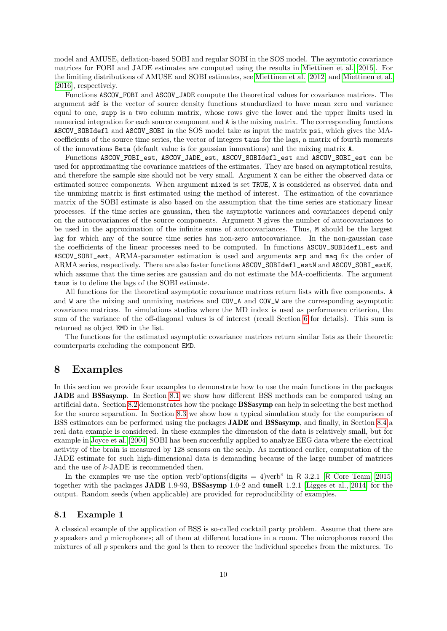model and AMUSE, deflation-based SOBI and regular SOBI in the SOS model. The asymtotic covariance matrices for FOBI and JADE estimates are computed using the results in [Miettinen et al.](#page-24-0) [\[2015\]](#page-24-0). For the limiting distributions of AMUSE and SOBI estimates, see [Miettinen et al.](#page-23-7) [\[2012\]](#page-23-7) and [Miettinen et al.](#page-24-10) [\[2016\]](#page-24-10), respectively.

Functions ASCOV\_FOBI and ASCOV\_JADE compute the theoretical values for covariance matrices. The argument sdf is the vector of source density functions standardized to have mean zero and variance equal to one, supp is a two column matrix, whose rows give the lower and the upper limits used in numerical integration for each source component and A is the mixing matrix. The corresponding functions ASCOV\_SOBIdefl and ASCOV\_SOBI in the SOS model take as input the matrix psi, which gives the MAcoefficients of the source time series, the vector of integers taus for the lags, a matrix of fourth moments of the innovations Beta (default value is for gaussian innovations) and the mixing matrix A.

Functions ASCOV\_FOBI\_est, ASCOV\_JADE\_est, ASCOV\_SOBIdefl\_est and ASCOV\_SOBI\_est can be used for approximating the covariance matrices of the estimates. They are based on asymptotical results, and therefore the sample size should not be very small. Argument X can be either the observed data or estimated source components. When argument mixed is set TRUE, X is considered as observed data and the unmixing matrix is first estimated using the method of interest. The estimation of the covariance matrix of the SOBI estimate is also based on the assumption that the time series are stationary linear processes. If the time series are gaussian, then the asymptotic variances and covariances depend only on the autocovariances of the source components. Argument M gives the number of autocovariances to be used in the approximation of the infinite sums of autocovariances. Thus, M should be the largest lag for which any of the source time series has non-zero autocovariance. In the non-gaussian case the coefficients of the linear processes need to be computed. In functions ASCOV\_SOBIdefl\_est and ASCOV\_SOBI\_est, ARMA-parameter estimation is used and arguments arp and maq fix the order of ARMA series, respectively. There are also faster functions ASCOV\_SOBIdefl\_estN and ASCOV\_SOBI\_estN, which assume that the time series are gaussian and do not estimate the MA-coefficients. The argument taus is to define the lags of the SOBI estimate.

All functions for the theoretical asymptotic covariance matrices return lists with five components. A and W are the mixing and unmixing matrices and COV\_A and COV\_W are the corresponding asymptotic covariance matrices. In simulations studies where the MD index is used as performance criterion, the sum of the variance of the off-diagonal values is of interest (recall Section [6](#page-7-0) for details). This sum is returned as object EMD in the list.

The functions for the estimated asymptotic covariance matrices return similar lists as their theoretic counterparts excluding the component EMD.

### <span id="page-9-0"></span>8 Examples

In this section we provide four examples to demonstrate how to use the main functions in the packages JADE and BSSasymp. In Section [8.1](#page-9-1) we show how different BSS methods can be compared using an artificial data. Section [8.2](#page-14-0) demonstrates how the package BSSasymp can help in selecting the best method for the source separation. In Section [8.3](#page-15-0) we show how a typical simulation study for the comparison of BSS estimators can be performed using the packages JADE and BSSasymp, and finally, in Section [8.4](#page-18-0) a real data example is considered. In these examples the dimension of the data is relatively small, but for example in [Joyce et al.](#page-23-16) [\[2004\]](#page-23-16) SOBI has been succesfully applied to analyze EEG data where the electrical activity of the brain is measured by 128 sensors on the scalp. As mentioned earlier, computation of the JADE estimate for such high-dimensional data is demanding because of the large number of matrices and the use of  $k$ -JADE is recommended then.

In the examples we use the option verb"options(digits  $= 4$ )verb" in R 3.2.1 [R [Core Team, 2015\]](#page-24-16) together with the packages JADE 1.9-93, BSSasymp 1.0-2 and tuneR 1.2.1 [\[Ligges et al., 2014\]](#page-23-17) for the output. Random seeds (when applicable) are provided for reproducibility of examples.

#### <span id="page-9-1"></span>8.1 Example 1

A classical example of the application of BSS is so-called cocktail party problem. Assume that there are p speakers and p microphones; all of them at different locations in a room. The microphones record the mixtures of all p speakers and the goal is then to recover the individual speeches from the mixtures. To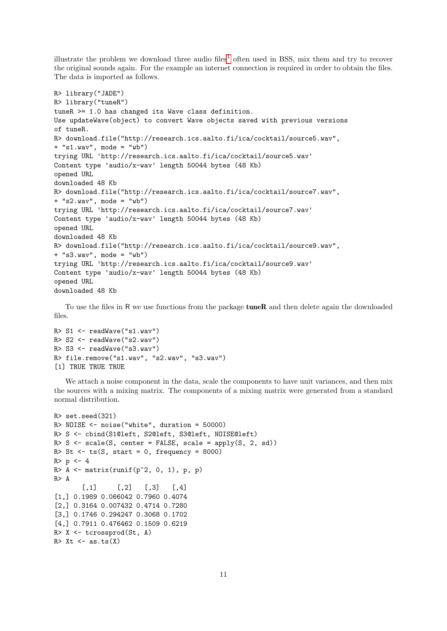illustrate the problem we download three audio files<sup>[1](#page-13-0)</sup> often used in BSS, mix them and try to recover the original sounds again. For the example an internet connection is required in order to obtain the files. The data is imported as follows.

```
R> library("JADE")
R> library("tuneR")
tuneR >= 1.0 has changed its Wave class definition.
Use updateWave(object) to convert Wave objects saved with previous versions
of tuneR.
R> download.file("http://research.ics.aalto.fi/ica/cocktail/source5.wav",
+ "s1.wav", mode = "wb")
trying URL 'http://research.ics.aalto.fi/ica/cocktail/source5.wav'
Content type 'audio/x-wav' length 50044 bytes (48 Kb)
opened URL
downloaded 48 Kb
R> download.file("http://research.ics.aalto.fi/ica/cocktail/source7.wav",
+ "s2.wav", mode = "wb")
trying URL 'http://research.ics.aalto.fi/ica/cocktail/source7.wav'
Content type 'audio/x-wav' length 50044 bytes (48 Kb)
opened URL
downloaded 48 Kb
R> download.file("http://research.ics.aalto.fi/ica/cocktail/source9.wav",
+ "s3.wav", mode = "wb")
trying URL 'http://research.ics.aalto.fi/ica/cocktail/source9.wav'
Content type 'audio/x-wav' length 50044 bytes (48 Kb)
opened URL
downloaded 48 Kb
```
To use the files in R we use functions from the package **tuneR** and then delete again the downloaded files.

```
R> S1 <- readWave("s1.wav")
R> S2 <- readWave("s2.wav")
R> S3 <- readWave("s3.wav")
R> file.remove("s1.wav", "s2.wav", "s3.wav")
[1] TRUE TRUE TRUE
```
We attach a noise component in the data, scale the components to have unit variances, and then mix the sources with a mixing matrix. The components of a mixing matrix were generated from a standard normal distribution.

```
R> set.seed(321)
R> NOISE <- noise("white", duration = 50000)
R> S <- cbind(S1@left, S2@left, S3@left, NOISE@left)
R > S \leftarrow scale(S, center = FALSE, scale = apply(S, 2, sd))R> St \leftarrow ts(S, start = 0, frequency = 8000)
R > p < -4R > A \leftarrow matrix(runif(p^2, 0, 1), p, p)R> A
       [0,1] [0,2] [0,3] [0,4][1,] 0.1989 0.066042 0.7960 0.4074
[2,] 0.3164 0.007432 0.4714 0.7280
[3,] 0.1746 0.294247 0.3068 0.1702
[4,] 0.7911 0.476462 0.1509 0.6219
R> X <- tcrossprod(St, A)
R > Xt \leftarrow as.ts(X)
```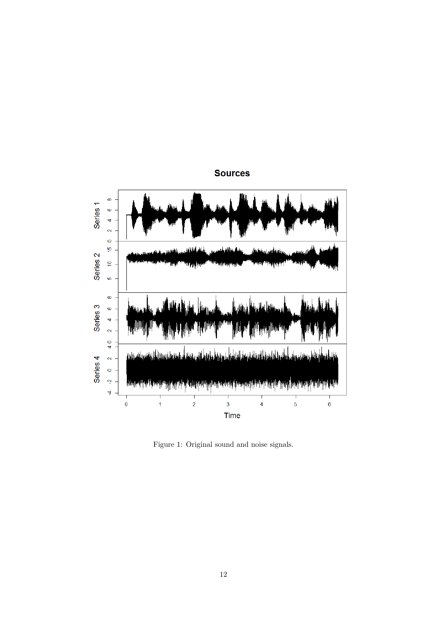

**Sources** 

<span id="page-11-0"></span>Figure 1: Original sound and noise signals.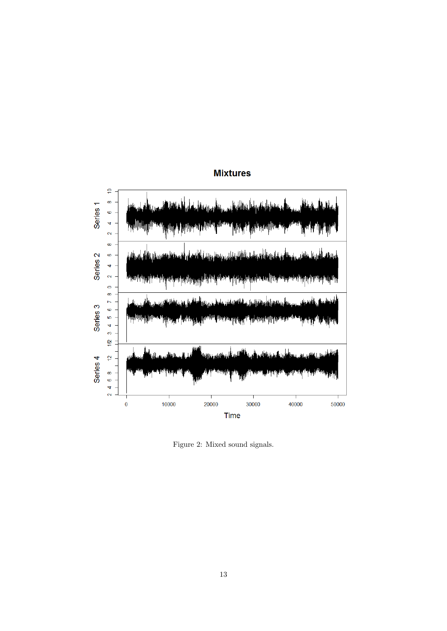

## **Mixtures**

<span id="page-12-0"></span>Figure 2: Mixed sound signals.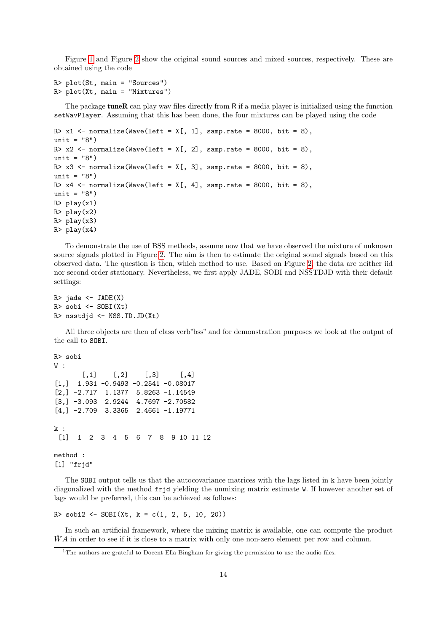Figure [1](#page-11-0) and Figure [2](#page-12-0) show the original sound sources and mixed sources, respectively. These are obtained using the code

```
R> plot(St, main = "Sources")
R> plot(Xt, main = "Mixtures")
```
The package **tuneR** can play wav files directly from R if a media player is initialized using the function setWavPlayer. Assuming that this has been done, the four mixtures can be played using the code

```
R> x1 <- normalize(Wave(left = X[, 1], samp.rate = 8000, bit = 8),
unit = "8")R> x2 <- normalize(Wave(left = X[, 2], samp.rate = 8000, bit = 8),
unit = "8")
R> x3 <- normalize(Wave(left = X[, 3], samp.rate = 8000, bit = 8),
unit = "8")R> x4 <- normalize(Wave(left = X[, 4], samp.rate = 8000, bit = 8),
unit = "8")
R> play(x1)
R> play(x2)
R> play(x3)
R> play(x4)
```
To demonstrate the use of BSS methods, assume now that we have observed the mixture of unknown source signals plotted in Figure [2.](#page-12-0) The aim is then to estimate the original sound signals based on this observed data. The question is then, which method to use. Based on Figure [2,](#page-12-0) the data are neither iid nor second order stationary. Nevertheless, we first apply JADE, SOBI and NSSTDJD with their default settings:

```
R> jade <- JADE(X)R> sobi <- SOBI(Xt)
R> nsstdjd <- NSS.TD.JD(Xt)
```
All three objects are then of class verb"bss" and for demonstration purposes we look at the output of the call to SOBI.

```
R> sobi
W:[0,1] [0,2] [0,3] [0,4][1,] 1.931 -0.9493 -0.2541 -0.08017
[2, ] -2.717 \quad 1.1377 \quad 5.8263 \quad -1.14549[3,] -3.093 2.9244 4.7697 -2.70582
[4,] -2.709 3.3365 2.4661 -1.19771
k :
 [1] 1 2 3 4 5 6 7 8 9 10 11 12
method :
[1] "frjd"
```
The SOBI output tells us that the autocovariance matrices with the lags listed in k have been jointly diagonalized with the method frjd yielding the unmixing matrix estimate W. If however another set of lags would be preferred, this can be achieved as follows:

```
R> sobi2 <- SOBI(Xt, k = c(1, 2, 5, 10, 20))
```
In such an artificial framework, where the mixing matrix is available, one can compute the product  $\ddot{W}A$  in order to see if it is close to a matrix with only one non-zero element per row and column.

<span id="page-13-0"></span><sup>&</sup>lt;sup>1</sup>The authors are grateful to Docent Ella Bingham for giving the permission to use the audio files.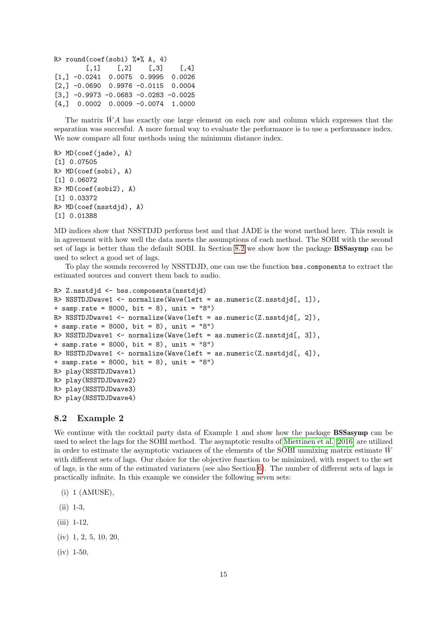```
R> round(coef(sobi) %*% A, 4)
       [,1] [,2] [,3] [,4]
[1,] -0.0241 0.0075 0.9995 0.0026
[2,] -0.0690 0.9976 -0.0115 0.0004
[3,] -0.9973 -0.0683 -0.0283 -0.0025[4,] 0.0002 0.0009 -0.0074 1.0000
```
The matrix  $\hat{W}A$  has exactly one large element on each row and column which expresses that the separation was succesful. A more formal way to evaluate the performance is to use a performance index. We now compare all four methods using the minimum distance index.

```
R> MD(coef(jade), A)
[1] 0.07505
R> MD(coef(sobi), A)
[1] 0.06072
R> MD(coef(sobi2), A)
[1] 0.03372
R> MD(coef(nsstdjd), A)
[1] 0.01388
```
MD indices show that NSSTDJD performs best and that JADE is the worst method here. This result is in agreement with how well the data meets the assumptions of each method. The SOBI with the second set of lags is better than the default SOBI. In Section [8.2](#page-14-0) we show how the package BSSasymp can be used to select a good set of lags.

To play the sounds recovered by NSSTDJD, one can use the function bss.components to extract the estimated sources and convert them back to audio.

```
R> Z.nsstdjd <- bss.components(nsstdjd)
R> NSSTDJDwave1 \leftarrow normalize(Wave(left = as.numeric(Z.nsstdjd[, 1]),
+ samp.rate = 8000, bit = 8), unit = "8")
R> NSSTDJDwave1 <- normalize(Wave(left = as.numeric(Z.nsstdjd[, 2]),
+ samp.rate = 8000, bit = 8), unit = "8")
R> NSSTDJDwave1 <- normalize(Wave(left = as.numeric(Z.nsstdjd[, 3]),
+ samp.rate = 8000, bit = 8), unit = "8")
R> NSSTDJDwave1 \leftarrow normalize(Wave(left = as.numeric(Z.nsstdjd[, 4]),
+ samp.rate = 8000, bit = 8), unit = "8")
R> play(NSSTDJDwave1)
R> play(NSSTDJDwave2)
R> play(NSSTDJDwave3)
R> play(NSSTDJDwave4)
```
#### <span id="page-14-0"></span>8.2 Example 2

We continue with the cocktail party data of Example 1 and show how the package **BSSasymp** can be used to select the lags for the SOBI method. The asymptotic results of [Miettinen et al.](#page-24-10) [\[2016\]](#page-24-10) are utilized in order to estimate the asymptotic variances of the elements of the SOBI unmixing matrix estimate  $\hat{W}$ with different sets of lags. Our choice for the objective function to be minimized, with respect to the set of lags, is the sum of the estimated variances (see also Section [6\)](#page-7-0). The number of different sets of lags is practically infinite. In this example we consider the following seven sets:

- (i) 1 (AMUSE),
- (ii) 1-3,
- (iii) 1-12,
- (iv) 1, 2, 5, 10, 20,
- $(iv) 1-50.$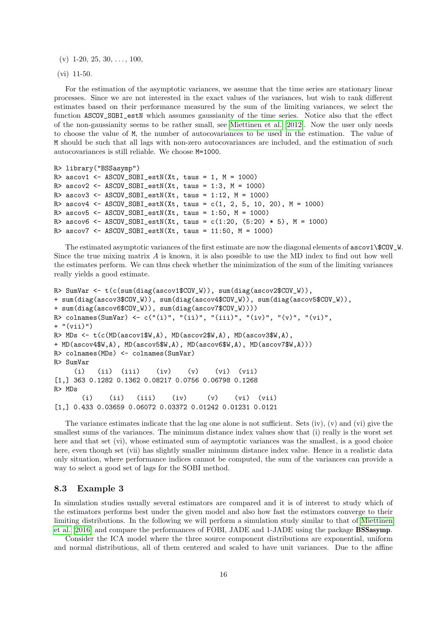$(v)$  1-20, 25, 30, ..., 100,

(vi) 11-50.

For the estimation of the asymptotic variances, we assume that the time series are stationary linear processes. Since we are not interested in the exact values of the variances, but wish to rank different estimates based on their performance measured by the sum of the limiting variances, we select the function ASCOV SOBI estN which assumes gaussianity of the time series. Notice also that the effect of the non-gaussianity seems to be rather small, see [Miettinen et al.](#page-23-7) [\[2012\]](#page-23-7). Now the user only needs to choose the value of M, the number of autocovariances to be used in the estimation. The value of M should be such that all lags with non-zero autocovariances are included, and the estimation of such autocovariances is still reliable. We choose M=1000.

```
R> library("BSSasymp")
R> ascov1 <- ASCOV_SOBI_estN(Xt, taus = 1, M = 1000)R> ascov2 <- ASCOV_SOBI\_estN(Xt, taus = 1:3, M = 1000)R> ascov3 <- ASCOV_SOBI_estN(Xt, taus = 1:12, M = 1000)
R> ascov4 <- ASCOV_SOBI_estN(Xt, taus = c(1, 2, 5, 10, 20), M = 1000)
R> ascov5 <- ASCOV_SOBI_estN(Xt, taus = 1:50, M = 1000)R> ascov6 <- ASCOV_SOBI_estN(Xt, taus = c(1:20, (5:20) * 5), M = 1000)
R> ascov7 <- ASCOV_SOBI\_estN(Xt, taus = 11:50, M = 1000)
```
The estimated asymptotic variances of the first estimate are now the diagonal elements of  $\text{ascov1}\$ COV\_W. Since the true mixing matrix A is known, it is also possible to use the MD index to find out how well the estimates perform. We can thus check whether the minimization of the sum of the limiting variances really yields a good estimate.

```
R> SumVar <- t(c(sum(diag(ascov1$COV_W)), sum(diag(ascov2$COV_W)),
+ sum(diag(ascov3$COV_W)), sum(diag(ascov4$COV_W)), sum(diag(ascov5$COV_W)),
+ sum(diag(ascov6$COV_W)), sum(diag(ascov7$COV_W))))
R> colnames(SumVar) <- c("(i)", "(ii)", "(iii)", "(iv)", "(v)", "(vi)",
+ "(vii)")
R> MDs <- t(c(MD(ascov1$W,A), MD(ascov2$W,A), MD(ascov3$W,A),
+ MD(ascov4$W,A), MD(ascov5$W,A), MD(ascov6$W,A), MD(ascov7$W,A)))
R> colnames(MDs) <- colnames(SumVar)
R> SumVar
     (i) (ii) (iii) (iv) (v) (vi) (vii)
[1,] 363 0.1282 0.1362 0.08217 0.0756 0.06798 0.1268
R> MDs
      (i) (ii) (iii) (iv) (v) (vi) (vii)
[1,] 0.433 0.03659 0.06072 0.03372 0.01242 0.01231 0.0121
```
The variance estimates indicate that the lag one alone is not sufficient. Sets (iv), (v) and (vi) give the smallest sums of the variances. The minimum distance index values show that (i) really is the worst set here and that set (vi), whose estimated sum of asymptotic variances was the smallest, is a good choice here, even though set (vii) has slightly smaller minimum distance index value. Hence in a realistic data only situation, where performance indices cannot be computed, the sum of the variances can provide a way to select a good set of lags for the SOBI method.

#### <span id="page-15-0"></span>8.3 Example 3

In simulation studies usually several estimators are compared and it is of interest to study which of the estimators performs best under the given model and also how fast the estimators converge to their limiting distributions. In the following we will perform a simulation study similar to that of [Miettinen](#page-24-10) [et al.](#page-24-10) [\[2016\]](#page-24-10) and compare the performances of FOBI, JADE and 1-JADE using the package BSSasymp.

Consider the ICA model where the three source component distributions are exponential, uniform and normal distributions, all of them centered and scaled to have unit variances. Due to the affine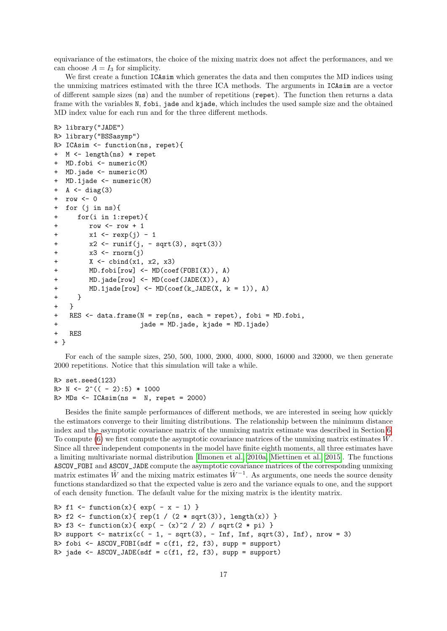equivariance of the estimators, the choice of the mixing matrix does not affect the performances, and we can choose  $A = I_3$  for simplicity.

We first create a function  $ICAsim$  which generates the data and then computes the MD indices using the unmixing matrices estimated with the three ICA methods. The arguments in ICAsim are a vector of different sample sizes (ns) and the number of repetitions (repet). The function then returns a data frame with the variables N, fobi, jade and kjade, which includes the used sample size and the obtained MD index value for each run and for the three different methods.

```
R> library("JADE")
R> library("BSSasymp")
R> ICAsim <- function(ns, repet){
+ M <- length(ns) * repet
+ MD.fobi <- numeric(M)
+ MD.jade <- numeric(M)
+ MD.1jade <- numeric(M)
+ A <- diag(3)
+ row <- 0
+ for (j in ns){
+ for(i in 1:repet){
+ row <- row + 1
+ x1 \leq -\exp(j) - 1+ x2 <- runif(j, - sqrt(3), sqrt(3))
+ x3 <- rnorm(j)
+ X <- cbind(x1, x2, x3)
+ MD.fobi[row] <- MD(coef(FOBI(X)), A)
+ MD.jade[row] <- MD(coef(JADE(X)), A)
+ MD.1jade[row] <- MD(coef(k_JADE(X, k = 1)), A)
+ }
+ }
+ RES <- data.frame(N = rep(ns, each = repet), fobi = MD.fobi,
+ jade = MD.jade, kjade = MD.1jade)
+ RES
+ }
```
For each of the sample sizes, 250, 500, 1000, 2000, 4000, 8000, 16000 and 32000, we then generate 2000 repetitions. Notice that this simulation will take a while.

```
R> set.seed(123)
R> N <- 2^(( - 2):5) * 1000
R> MDs < -ICAsim(ns = N, repet = 2000)
```
Besides the finite sample performances of different methods, we are interested in seeing how quickly the estimators converge to their limiting distributions. The relationship between the minimum distance index and the asymptotic covariance matrix of the unmixing matrix estimate was described in Section [6.](#page-7-0) To compute [\(6\)](#page-7-2) we first compute the asymptotic covariance matrices of the unmixing matrix estimates  $\hat{W}$ . Since all three independent components in the model have finite eighth moments, all three estimates have a limiting multivariate normal distribution [\[Ilmonen et al., 2010a,](#page-23-5) [Miettinen et al., 2015\]](#page-24-0). The functions ASCOV\_FOBI and ASCOV\_JADE compute the asymptotic covariance matrices of the corresponding unmixing matrix estimates  $\hat{W}$  and the mixing matrix estimates  $\hat{W}^{-1}$ . As arguments, one needs the source density functions standardized so that the expected value is zero and the variance equals to one, and the support of each density function. The default value for the mixing matrix is the identity matrix.

```
R> f1 <- function(x){ exp(-x - 1) }
R> f2 <- function(x){ rep(1 / (2 * sqrt(3)), length(x)) }
R> f3 <- function(x){ exp( - (x)^2 / 2) / sqrt(2 * pi) }
R> support \le matrix(c( - 1, - sqrt(3), - Inf, Inf, sqrt(3), Inf), nrow = 3)
R> fobi <- ASCOV_FOBI(sdf = c(f1, f2, f3), supp = support)
R> jade <- ASCOV_JADE(sdf = c(f1, f2, f3), supp = support)
```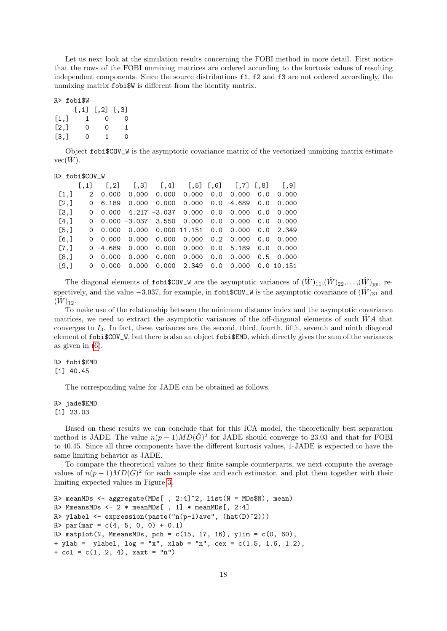Let us next look at the simulation results concerning the FOBI method in more detail. First notice that the rows of the FOBI unmixing matrices are ordered according to the kurtosis values of resulting independent components. Since the source distributions f1, f2 and f3 are not ordered accordingly, the unmixing matrix fobi\$W is different from the identity matrix.

#### R> fobi\$W

|      | [.,1] | $[0, 2]$ $[0, 3]$ |     |
|------|-------|-------------------|-----|
| [1,] | 1     | $\Omega$          | - 0 |
| [2,] | 0     | 0                 | 1   |
| [3,] | 0     | 1.                | 0   |

Object fobi\$COV\_W is the asymptotic covariance matrix of the vectorized unmixing matrix estimate  $vec(\{W})$ .

#### R> fobi\$COV\_W

|         |          | $[0,1]$ $[0,2]$ $[0,3]$ $[0,4]$ $[0,5]$ $[0,6]$ $[0,7]$ $[0,8]$ $[0,9]$ |  |                                                             |  |  |
|---------|----------|-------------------------------------------------------------------------|--|-------------------------------------------------------------|--|--|
| [1,]    |          | 2 0.000                                                                 |  | $0.000$ $0.000$ $0.000$ $0.0$ $0.000$ $0.000$ $0.0$ $0.000$ |  |  |
| [2,]    |          | $0 \quad 6.189$                                                         |  | $0.000$ $0.000$ $0.000$ $0.0$ $-4.689$ $0.0$ $0.000$        |  |  |
| [3,]    |          | $0$ 0.000 4.217 -3.037 0.000 0.0 0.000 0.0 0.000                        |  |                                                             |  |  |
| [4,]    |          | $0$ 0.000 -3.037 3.550 0.000 0.0 0.000 0.0 0.000                        |  |                                                             |  |  |
| [5,]    |          | $0$ 0.000 0.000 0.000 11.151 0.0 0.000 0.0 2.349                        |  |                                                             |  |  |
| $[6,$ ] |          |                                                                         |  |                                                             |  |  |
| [7,]    |          | $0 -4.689$ 0.000 0.000 0.000 0.0 5.189 0.0 0.000                        |  |                                                             |  |  |
| [8,]    |          | 0.000                                                                   |  | $0.000$ $0.000$ $0.000$ $0.0$ $0.000$ $0.5$ $0.000$         |  |  |
| [9,]    | $\Omega$ | 0.000                                                                   |  | 0.000 0.000 2.349 0.0 0.000 0.0 10.151                      |  |  |
|         |          |                                                                         |  |                                                             |  |  |

The diagonal elements of fobi\$COV\_W are the asymptotic variances of  $(\hat{W})_{11}$ , $(\hat{W})_{22}$ ,..., $(\hat{W})_{pp}$ , respectively, and the value  $-3.037$ , for example, in fobi $\text{\$COV}_W$  is the asymptotic covariance of  $(\hat{W})_{31}$  and  $(\hat{W})_{12}$ .

To make use of the relationship between the minimum distance index and the asymptotic covariance matrices, we need to extract the asymptotic variances of the off-diagonal elements of such  $WA$  that converges to  $I_3$ . In fact, these variances are the second, third, fourth, fifth, seventh and ninth diagonal element of fobi\$COV\_W, but there is also an object fobi\$EMD, which directly gives the sum of the variances as given in [\(6\)](#page-7-2).

#### R> fobi\$EMD

[1] 40.45

The corresponding value for JADE can be obtained as follows.

#### R> jade\$EMD

#### [1] 23.03

Based on these results we can conclude that for this ICA model, the theoretically best separation method is JADE. The value  $n(p-1)MD(\hat{G})^2$  for JADE should converge to 23.03 and that for FOBI to 40.45. Since all three components have the different kurtosis values, 1-JADE is expected to have the same limiting behavior as JADE.

To compare the theoretical values to their finite sample counterparts, we next compute the average values of  $n(p-1)MD(\hat{G})^2$  for each sample size and each estimator, and plot them together with their limiting expected values in Figure [3.](#page-18-1)

```
R> meanMDs <- aggregate(MDs[, 2:4]^2, list(N = MDs$N), mean)
R> MmeansMDs <- 2 * meanMDS [, 1] * meanMDS [, 2:4]
R> ylabel \leq expression(paste("n(p-1)ave", (hat(D)^2)))
R> par(mar = c(4, 5, 0, 0) + 0.1)
R> matplot(N, MmeansMDs, pch = c(15, 17, 16), ylim = c(0, 60),
+ ylab = ylabel, log = "x", xlab = "n", cex = c(1.5, 1.6, 1.2),+ col = c(1, 2, 4), xaxt = "n")
```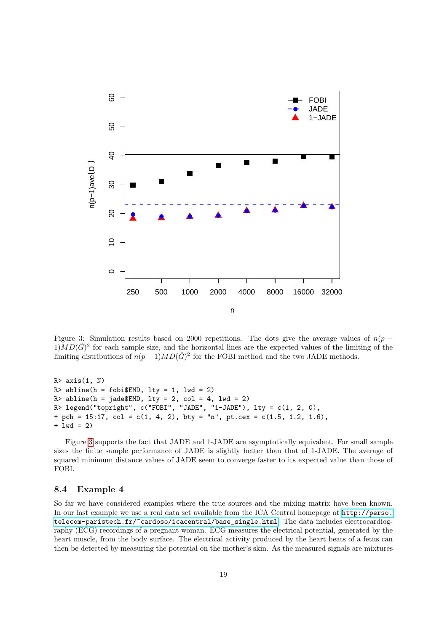

<span id="page-18-1"></span>Figure 3: Simulation results based on 2000 repetitions. The dots give the average values of  $n(p 1$ ) $MD(\hat{G})^2$  for each sample size, and the horizontal lines are the expected values of the limiting of the limiting distributions of  $n(p-1)MD(\hat{G})^2$  for the FOBI method and the two JADE methods.

```
R > axis(1, N)R > abline(h = fobi$EMD, lty = 1, lwd = 2)
R> abline(h = jade$EMD, lty = 2, col = 4, lwd = 2)
R> legend("topright", c("FOBI", "JADE", "1-JADE"), lty = <math>c(1, 2, 0)</math>,+ pch = 15:17, col = c(1, 4, 2), bty = "n", pt.cex = c(1.5, 1.2, 1.6),
+ lwd = 2)
```
Figure [3](#page-18-1) supports the fact that JADE and 1-JADE are asymptotically equivalent. For small sample sizes the finite sample performance of JADE is slightly better than that of 1-JADE. The average of squared minimum distance values of JADE seem to converge faster to its expected value than those of FOBI.

#### <span id="page-18-0"></span>8.4 Example 4

So far we have considered examples where the true sources and the mixing matrix have been known. In our last example we use a real data set available from the ICA Central homepage at [http://perso.](http://perso.telecom-paristech.fr/~cardoso/icacentral/base_single.html) [telecom-paristech.fr/~cardoso/icacentral/base\\_single.html](http://perso.telecom-paristech.fr/~cardoso/icacentral/base_single.html). The data includes electrocardiography (ECG) recordings of a pregnant woman. ECG measures the electrical potential, generated by the heart muscle, from the body surface. The electrical activity produced by the heart beats of a fetus can then be detected by measuring the potential on the mother's skin. As the measured signals are mixtures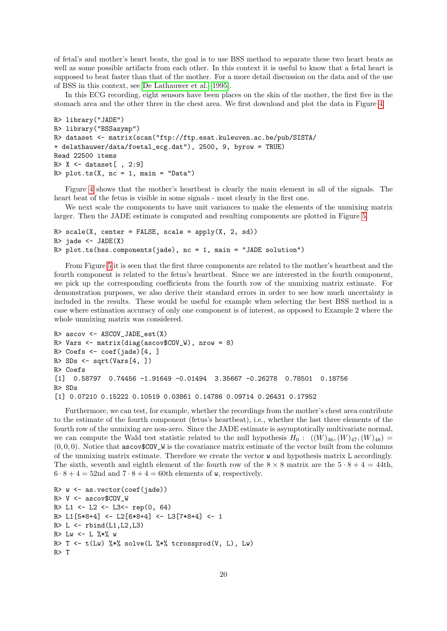of fetal's and mother's heart beats, the goal is to use BSS method to separate these two heart beats as well as some possible artifacts from each other. In this context it is useful to know that a fetal heart is supposed to beat faster than that of the mother. For a more detail discussion on the data and of the use of BSS in this context, see [De Lathauwer et al.](#page-23-18) [\[1995\]](#page-23-18).

In this ECG recording, eight sensors have been places on the skin of the mother, the first five in the stomach area and the other three in the chest area. We first download and plot the data in Figure [4.](#page-20-0)

```
R> library("JADE")
R> library("BSSasymp")
R> dataset <- matrix(scan("ftp://ftp.esat.kuleuven.ac.be/pub/SISTA/
+ delathauwer/data/foetal_ecg.dat"), 2500, 9, byrow = TRUE)
Read 22500 items
R > X \leftarrow dataset[, 2:9]
R> plot.ts(X, nc = 1, main = "Data")
```
Figure [4](#page-20-0) shows that the mother's heartbeat is clearly the main element in all of the signals. The heart beat of the fetus is visible in some signals - most clearly in the first one.

We next scale the components to have unit variances to make the elements of the unmixing matrix larger. Then the JADE estimate is computed and resulting components are plotted in Figure [5.](#page-21-0)

```
R> scale(X, center = FALSE, scale = apply(X, 2, sd))
R> jade <- JADE(X)R> plot.ts(bss.components(jade), nc = 1, main = "JADE solution")
```
From Figure [5](#page-21-0) it is seen that the first three components are related to the mother's heartbeat and the fourth component is related to the fetus's heartbeat. Since we are interested in the fourth component, we pick up the corresponding coefficients from the fourth row of the unmixing matrix estimate. For demonstration purposes, we also derive their standard errors in order to see how much uncertainty is included in the results. These would be useful for example when selecting the best BSS method in a case where estimation accuracy of only one component is of interest, as opposed to Example 2 where the whole unmixing matrix was considered.

```
R> ascov <- ASCOV_JADE_est(X)
R> Vars \leq matrix(diag(ascov$COV W), nrow = 8)
R> Coefs \leq coef(jade)[4,]
R > SDs \leftarrow sqrt(Vars[4, ])R> Coefs
[1] 0.58797 0.74456 -1.91649 -0.01494 3.35667 -0.26278 0.78501 0.18756
R> SDs
[1] 0.07210 0.15222 0.10519 0.03861 0.14786 0.09714 0.26431 0.17952
```
Furthermore, we can test, for example, whether the recordings from the mother's chest area contribute to the estimate of the fourth component (fetus's heartbeat), i.e., whether the last three elements of the fourth row of the unmixing are non-zero. Since the JADE estimate is asymptotically multivariate normal, we can compute the Wald test statistic related to the null hypothesis  $H_0: ((W)_{46}, (W)_{47}, (W)_{48})$  =  $(0, 0, 0)$ . Notice that ascov\$COV\_W is the covariance matrix estimate of the vector built from the columns of the unmixing matrix estimate. Therefore we create the vector w and hypothesis matrix L accordingly. The sixth, seventh and eighth element of the fourth row of the  $8 \times 8$  matrix are the  $5 \cdot 8 + 4 = 44$ th,  $6 \cdot 8 + 4 = 52$ nd and  $7 \cdot 8 + 4 = 60$ th elements of w, respectively.

```
R w \leftarrow as. vector (coef(jade))
R > V \le - ascov$COV W
R> L1 <- L2 <- L3<- rep(0, 64)
R> L1[5*8+4] <- L2[6*8+4] <- L3[7*8+4] <- 1
R > L \leftarrow rbind(L1, L2, L3)
R> Lw <- L \frac{9}{8} +\frac{9}{8} w
R> T <- t(Lw) %*% solve(L %*% tcrossprod(V, L), Lw)
R> T
```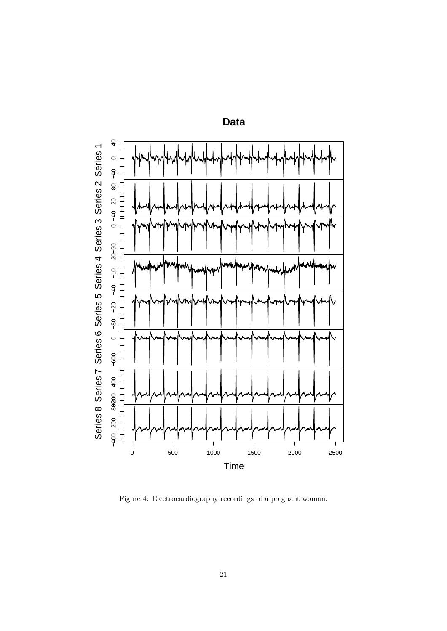

**Data**

<span id="page-20-0"></span>Figure 4: Electrocardiography recordings of a pregnant woman.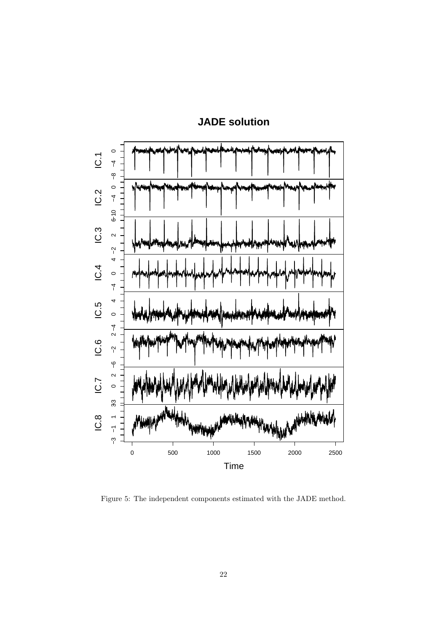

# **JADE solution**

<span id="page-21-0"></span>Figure 5: The independent components estimated with the JADE method.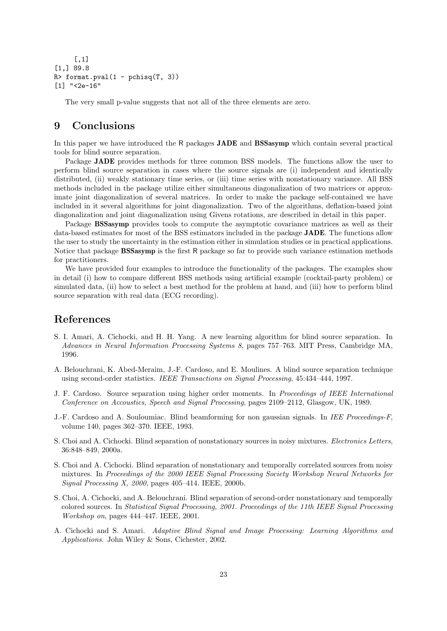```
[,1]
[1,] 89.8
R> format.pval(1 - pchisq(T, 3))
[1] "<2e-16"
```
The very small p-value suggests that not all of the three elements are zero.

## 9 Conclusions

In this paper we have introduced the R packages JADE and BSSasymp which contain several practical tools for blind source separation.

Package **JADE** provides methods for three common BSS models. The functions allow the user to perform blind source separation in cases where the source signals are (i) independent and identically distributed, (ii) weakly stationary time series, or (iii) time series with nonstationary variance. All BSS methods included in the package utilize either simultaneous diagonalization of two matrices or approximate joint diagonalization of several matrices. In order to make the package self-contained we have included in it several algorithms for joint diagonalization. Two of the algorithms, deflation-based joint diagonalization and joint diagonalization using Givens rotations, are described in detail in this paper.

Package **BSSasymp** provides tools to compute the asymptotic covariance matrices as well as their data-based estimates for most of the BSS estimators included in the package JADE. The functions allow the user to study the uncertainty in the estimation either in simulation studies or in practical applications. Notice that package BSSasymp is the first R package so far to provide such variance estimation methods for practitioners.

We have provided four examples to introduce the functionality of the packages. The examples show in detail (i) how to compare different BSS methods using artificial example (cocktail-party problem) or simulated data, (ii) how to select a best method for the problem at hand, and (iii) how to perform blind source separation with real data (ECG recording).

## References

- <span id="page-22-7"></span>S. I. Amari, A. Cichocki, and H. H. Yang. A new learning algorithm for blind source separation. In Advances in Neural Information Processing Systems 8, pages 757–763. MIT Press, Cambridge MA, 1996.
- <span id="page-22-3"></span>A. Belouchrani, K. Abed-Meraim, J.-F. Cardoso, and E. Moulines. A blind source separation technique using second-order statistics. IEEE Transactions on Signal Processing, 45:434–444, 1997.
- <span id="page-22-0"></span>J. F. Cardoso. Source separation using higher order moments. In Proceedings of IEEE International Conference on Accoustics, Speech and Signal Processing, pages 2109–2112, Glasgow, UK, 1989.
- <span id="page-22-1"></span>J.-F. Cardoso and A. Souloumiac. Blind beamforming for non gaussian signals. In IEE Proceedings-F, volume 140, pages 362–370. IEEE, 1993.
- <span id="page-22-4"></span>S. Choi and A. Cichocki. Blind separation of nonstationary sources in noisy mixtures. Electronics Letters, 36:848–849, 2000a.
- <span id="page-22-5"></span>S. Choi and A. Cichocki. Blind separation of nonstationary and temporally correlated sources from noisy mixtures. In Proceedings of the 2000 IEEE Signal Processing Society Workshop Neural Networks for Signal Processing X, 2000, pages 405–414. IEEE, 2000b.
- <span id="page-22-6"></span>S. Choi, A. Cichocki, and A. Belouchrani. Blind separation of second-order nonstationary and temporally colored sources. In Statistical Signal Processing, 2001. Proceedings of the 11th IEEE Signal Processing Workshop on, pages 444–447. IEEE, 2001.
- <span id="page-22-2"></span>A. Cichocki and S. Amari. Adaptive Blind Signal and Image Processing: Learning Algorithms and Applications. John Wiley & Sons, Cichester, 2002.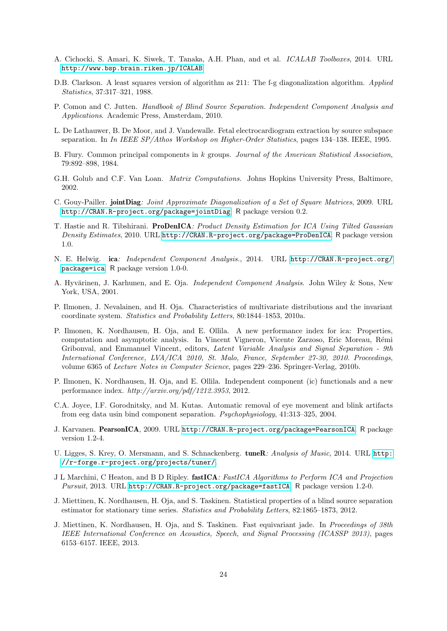- <span id="page-23-15"></span>A. Cichocki, S. Amari, K. Siwek, T. Tanaka, A.H. Phan, and et al. ICALAB Toolboxes, 2014. URL <http://www.bsp.brain.riken.jp/ICALAB>.
- <span id="page-23-2"></span>D.B. Clarkson. A least squares version of algorithm as 211: The f-g diagonalization algorithm. Applied Statistics, 37:317–321, 1988.
- <span id="page-23-4"></span>P. Comon and C. Jutten. Handbook of Blind Source Separation. Independent Component Analysis and Applications. Academic Press, Amsterdam, 2010.
- <span id="page-23-18"></span>L. De Lathauwer, B. De Moor, and J. Vandewalle. Fetal electrocardiogram extraction by source subspace separation. In In IEEE SP/Athos Workshop on Higher-Order Statistics, pages 134–138. IEEE, 1995.
- <span id="page-23-1"></span>B. Flury. Common principal components in k groups. Journal of the American Statistical Association, 79:892–898, 1984.
- <span id="page-23-0"></span>G.H. Golub and C.F. Van Loan. *Matrix Computations.* Johns Hopkins University Press, Baltimore, 2002.
- <span id="page-23-10"></span>C. Gouy-Pailler. jointDiag: Joint Approximate Diagonalization of a Set of Square Matrices, 2009. URL <http://CRAN.R-project.org/package=jointDiag>. R package version 0.2.
- <span id="page-23-13"></span>T. Hastie and R. Tibshirani. ProDenICA: Product Density Estimation for ICA Using Tilted Gaussian Density Estimates, 2010. URL <http://CRAN.R-project.org/package=ProDenICA>. R package version 1.0.
- <span id="page-23-14"></span>N. E. Helwig. ica: Independent Component Analysis., 2014. URL [http://CRAN.R-project.org/](http://CRAN.R-project.org/package=ica) [package=ica](http://CRAN.R-project.org/package=ica). R package version 1.0-0.
- <span id="page-23-3"></span>A. Hyvärinen, J. Karhunen, and E. Oja. *Independent Component Analysis*. John Wiley & Sons, New York, USA, 2001.
- <span id="page-23-5"></span>P. Ilmonen, J. Nevalainen, and H. Oja. Characteristics of multivariate distributions and the invariant coordinate system. Statistics and Probability Letters, 80:1844–1853, 2010a.
- <span id="page-23-8"></span>P. Ilmonen, K. Nordhausen, H. Oja, and E. Ollila. A new performance index for ica: Properties, computation and asymptotic analysis. In Vincent Vigneron, Vicente Zarzoso, Eric Moreau, R´emi Gribonval, and Emmanuel Vincent, editors, Latent Variable Analysis and Signal Separation - 9th International Conference, LVA/ICA 2010, St. Malo, France, September 27-30, 2010. Proceedings, volume 6365 of Lecture Notes in Computer Science, pages 229–236. Springer-Verlag, 2010b.
- <span id="page-23-9"></span>P. Ilmonen, K. Nordhausen, H. Oja, and E. Ollila. Independent component (ic) functionals and a new performance index. http://arxiv.org/pdf/1212.3953, 2012.
- <span id="page-23-16"></span>C.A. Joyce, I.F. Gorodnitsky, and M. Kutas. Automatic removal of eye movement and blink artifacts from eeg data usin bind component separation. Psychophysiology, 41:313–325, 2004.
- <span id="page-23-12"></span>J. Karvanen. PearsonICA, 2009. URL <http://CRAN.R-project.org/package=PearsonICA>. R package version 1.2-4.
- <span id="page-23-17"></span>U. Ligges, S. Krey, O. Mersmann, and S. Schnackenberg. tuneR: Analysis of Music, 2014. URL [http:](http://r-forge.r-project.org/projects/tuner/) [//r-forge.r-project.org/projects/tuner/](http://r-forge.r-project.org/projects/tuner/).
- <span id="page-23-11"></span>J L Marchini, C Heaton, and B D Ripley. **fastICA**: FastICA Algorithms to Perform ICA and Projection Pursuit, 2013. URL <http://CRAN.R-project.org/package=fastICA>. R package version 1.2-0.
- <span id="page-23-7"></span>J. Miettinen, K. Nordhausen, H. Oja, and S. Taskinen. Statistical properties of a blind source separation estimator for stationary time series. Statistics and Probability Letters, 82:1865–1873, 2012.
- <span id="page-23-6"></span>J. Miettinen, K. Nordhausen, H. Oja, and S. Taskinen. Fast equivariant jade. In Proceedings of 38th IEEE International Conference on Acoustics, Speech, and Signal Processing (ICASSP 2013), pages 6153–6157. IEEE, 2013.